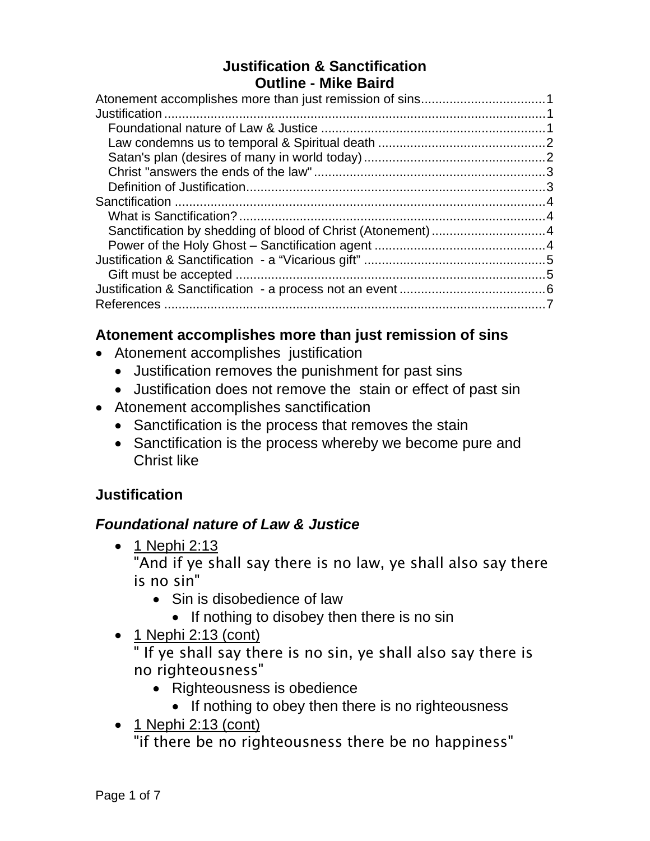#### **Justification & Sanctification Outline - Mike Baird**

#### **Atonement accomplishes more than just remission of sins**

- Atonement accomplishes justification
	- Justification removes the punishment for past sins
	- Justification does not remove the stain or effect of past sin
- Atonement accomplishes sanctification
	- Sanctification is the process that removes the stain
	- Sanctification is the process whereby we become pure and Christ like

## **Justification**

## *Foundational nature of Law & Justice*

• 1 Nephi 2:13

"And if ye shall say there is no law, ye shall also say there is no sin"

- Sin is disobedience of law
	- If nothing to disobey then there is no sin
- $\bullet$  1 Nephi 2:13 (cont)

" If ye shall say there is no sin, ye shall also say there is no righteousness"

- Righteousness is obedience
	- If nothing to obey then there is no righteousness
- $\bullet$  1 Nephi 2:13 (cont)

"if there be no righteousness there be no happiness"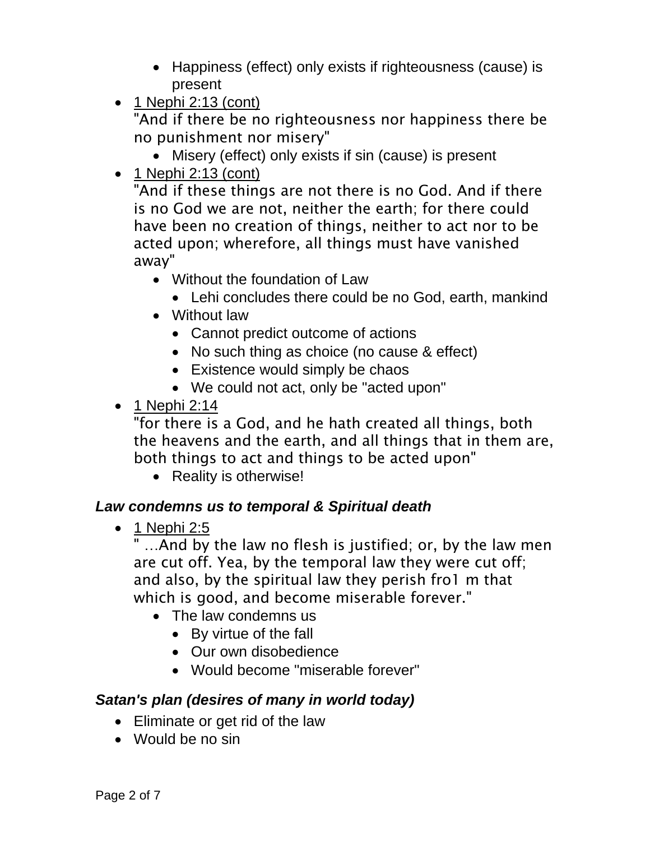- Happiness (effect) only exists if righteousness (cause) is present
- $\bullet$  1 Nephi 2:13 (cont)

"And if there be no righteousness nor happiness there be no punishment nor misery"

- Misery (effect) only exists if sin (cause) is present
- $\bullet$  1 Nephi 2:13 (cont)

"And if these things are not there is no God. And if there is no God we are not, neither the earth; for there could have been no creation of things, neither to act nor to be acted upon; wherefore, all things must have vanished away"

- Without the foundation of Law
	- Lehi concludes there could be no God, earth, mankind
- Without law
	- Cannot predict outcome of actions
	- No such thing as choice (no cause & effect)
	- Existence would simply be chaos
	- We could not act, only be "acted upon"
- $\bullet$  1 Nephi 2:14

"for there is a God, and he hath created all things, both the heavens and the earth, and all things that in them are, both things to act and things to be acted upon"

• Reality is otherwise!

## *Law condemns us to temporal & Spiritual death*

 $\bullet$  1 Nephi 2:5

" ...And by the law no flesh is justified; or, by the law men are cut off. Yea, by the temporal law they were cut off; and also, by the spiritual law they perish fro1 m that which is good, and become miserable forever."

- The law condemns us
	- By virtue of the fall
	- Our own disobedience
	- Would become "miserable forever"

## *Satan's plan (desires of many in world today)*

- Eliminate or get rid of the law
- Would be no sin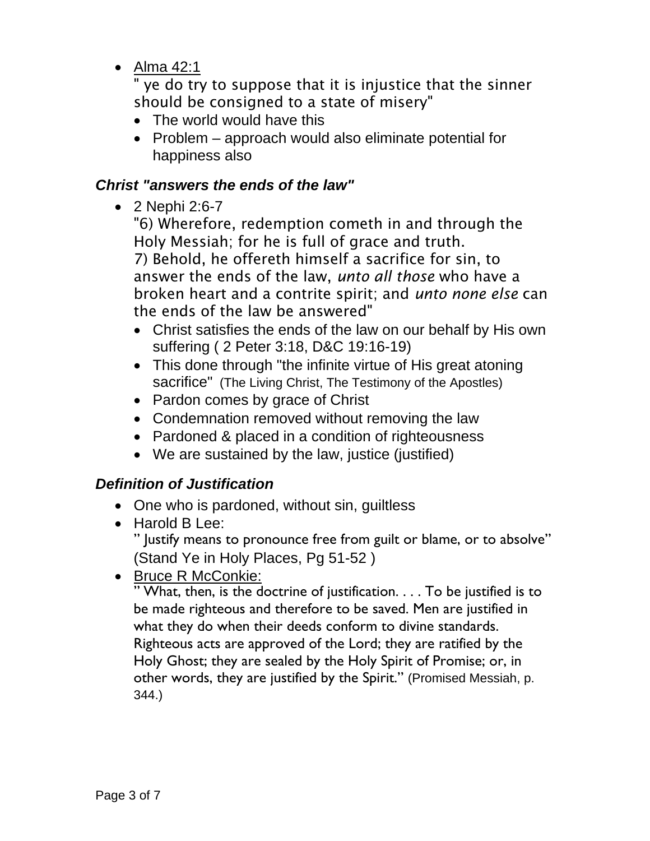Alma 42:1

" ye do try to suppose that it is injustice that the sinner should be consigned to a state of misery"

- The world would have this
- Problem approach would also eliminate potential for happiness also

#### *Christ "answers the ends of the law"*

• 2 Nephi 2:6-7

"6) Wherefore, redemption cometh in and through the Holy Messiah; for he is full of grace and truth. 7) Behold, he offereth himself a sacrifice for sin, to answer the ends of the law, *unto all those* who have a broken heart and a contrite spirit; and *unto none else* can the ends of the law be answered"

- Christ satisfies the ends of the law on our behalf by His own suffering ( 2 Peter 3:18, D&C 19:16-19)
- This done through "the infinite virtue of His great atoning sacrifice" (The Living Christ, The Testimony of the Apostles)
- Pardon comes by grace of Christ
- Condemnation removed without removing the law
- Pardoned & placed in a condition of righteousness
- We are sustained by the law, justice (justified)

## *Definition of Justification*

- One who is pardoned, without sin, quiltless
- Harold B Lee: " Justify means to pronounce free from guilt or blame, or to absolve" (Stand Ye in Holy Places, Pg 51-52 )
- Bruce R McConkie:

" What, then, is the doctrine of justification. . . . To be justified is to be made righteous and therefore to be saved. Men are justified in what they do when their deeds conform to divine standards. Righteous acts are approved of the Lord; they are ratified by the Holy Ghost; they are sealed by the Holy Spirit of Promise; or, in other words, they are justified by the Spirit." (Promised Messiah, p. 344.)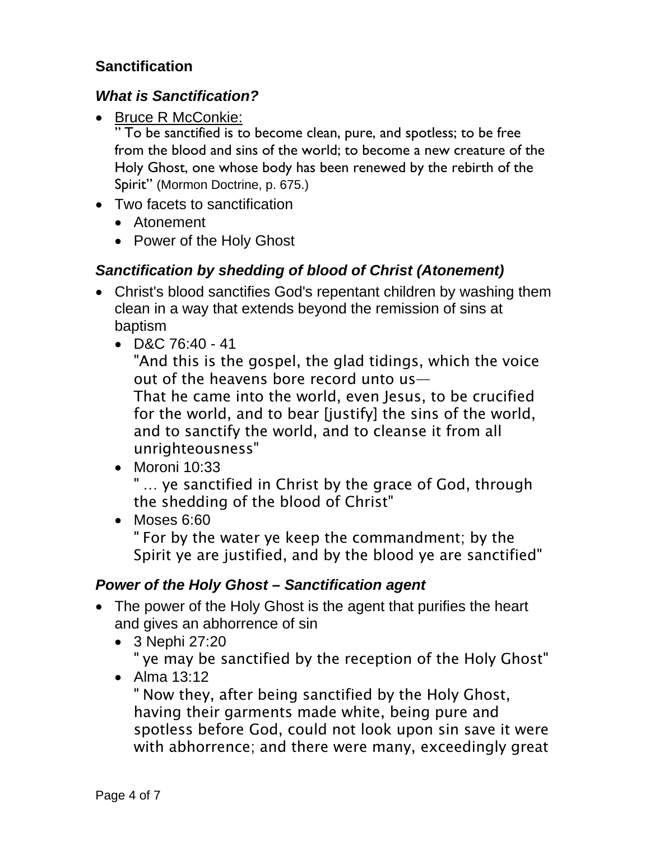## **Sanctification**

#### *What is Sanctification?*

• Bruce R McConkie:

" To be sanctified is to become clean, pure, and spotless; to be free from the blood and sins of the world; to become a new creature of the Holy Ghost, one whose body has been renewed by the rebirth of the Spirit" (Mormon Doctrine, p. 675.)

- Two facets to sanctification
	- Atonement
	- Power of the Holy Ghost

#### *Sanctification by shedding of blood of Christ (Atonement)*

- Christ's blood sanctifies God's repentant children by washing them clean in a way that extends beyond the remission of sins at baptism
	- $\bullet$  D&C 76:40 41

"And this is the gospel, the glad tidings, which the voice out of the heavens bore record unto us—

That he came into the world, even Jesus, to be crucified for the world, and to bear [justify] the sins of the world, and to sanctify the world, and to cleanse it from all unrighteousness"

• Moroni 10:33

" … ye sanctified in Christ by the grace of God, through the shedding of the blood of Christ"

• Moses 6:60 " For by the water ye keep the commandment; by the Spirit ye are justified, and by the blood ye are sanctified"

#### *Power of the Holy Ghost – Sanctification agent*

- The power of the Holy Ghost is the agent that purifies the heart and gives an abhorrence of sin
	- 3 Nephi 27:20 " ye may be sanctified by the reception of the Holy Ghost"
	- Alma 13:12

" Now they, after being sanctified by the Holy Ghost, having their garments made white, being pure and spotless before God, could not look upon sin save it were with abhorrence; and there were many, exceedingly great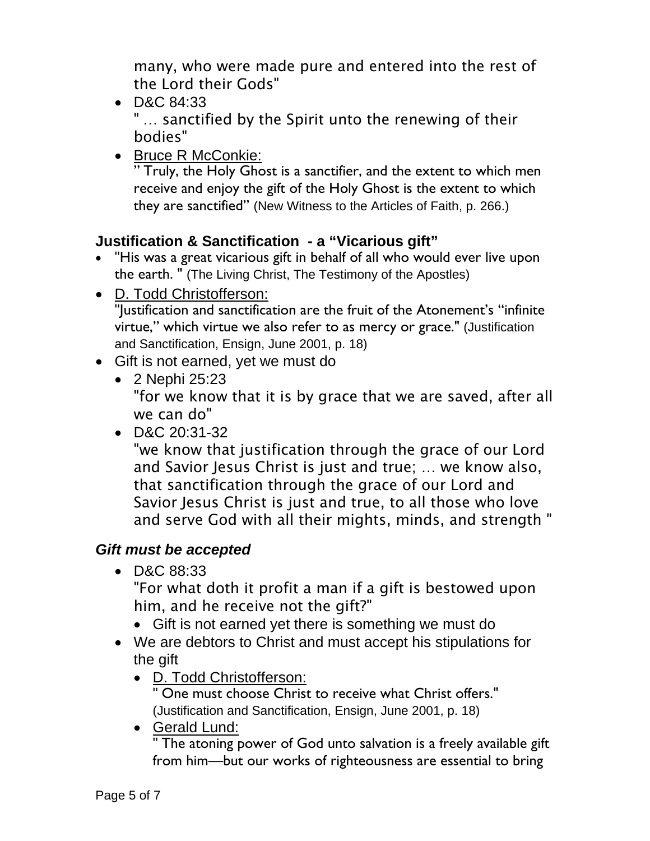many, who were made pure and entered into the rest of the Lord their Gods"

D&C 84:33

" … sanctified by the Spirit unto the renewing of their bodies"

• Bruce R McConkie:

" Truly, the Holy Ghost is a sanctifier, and the extent to which men receive and enjoy the gift of the Holy Ghost is the extent to which they are sanctified" (New Witness to the Articles of Faith, p. 266.)

## **Justification & Sanctification - a "Vicarious gift"**

- "His was a great vicarious gift in behalf of all who would ever live upon the earth. " (The Living Christ, The Testimony of the Apostles)
- D. Todd Christofferson: "Justification and sanctification are the fruit of the Atonement's "infinite virtue," which virtue we also refer to as mercy or grace." (Justification and Sanctification, Ensign, June 2001, p. 18)
- Gift is not earned, yet we must do
	- 2 Nephi 25:23 "for we know that it is by grace that we are saved, after all we can do"
	- D&C 20:31-32

"we know that justification through the grace of our Lord and Savior Jesus Christ is just and true; … we know also, that sanctification through the grace of our Lord and Savior Jesus Christ is just and true, to all those who love and serve God with all their mights, minds, and strength "

# *Gift must be accepted*

D&C 88:33

"For what doth it profit a man if a gift is bestowed upon him, and he receive not the gift?"

- Gift is not earned yet there is something we must do
- We are debtors to Christ and must accept his stipulations for the gift
	- D. Todd Christofferson:

One must choose Christ to receive what Christ offers." (Justification and Sanctification, Ensign, June 2001, p. 18)

Gerald Lund:

" The atoning power of God unto salvation is a freely available gift from him—but our works of righteousness are essential to bring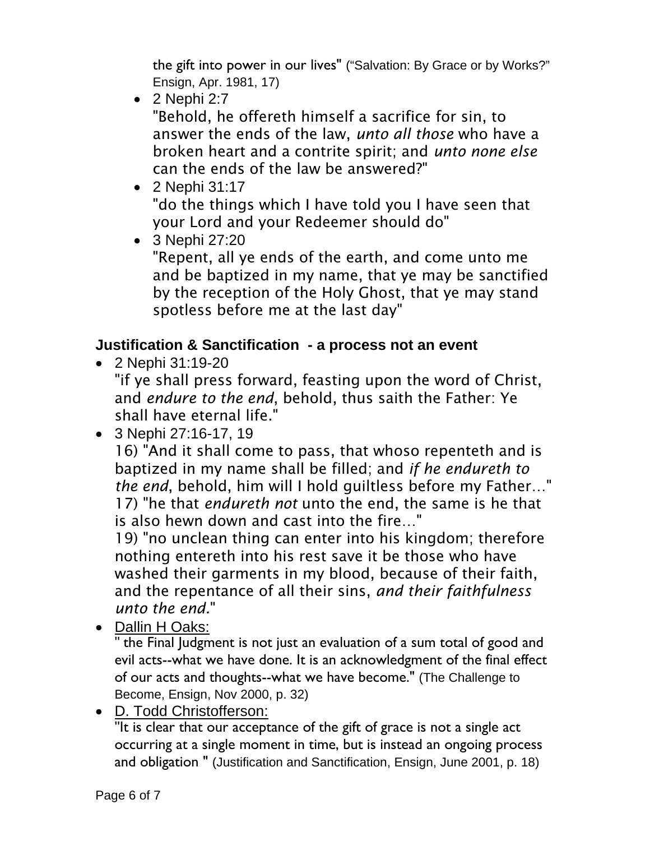the gift into power in our lives" ("Salvation: By Grace or by Works?" Ensign, Apr. 1981, 17)

 $\bullet$  2 Nephi 2:7

"Behold, he offereth himself a sacrifice for sin, to answer the ends of the law, *unto all those* who have a broken heart and a contrite spirit; and *unto none else* can the ends of the law be answered?"

- 2 Nephi 31:17 "do the things which I have told you I have seen that your Lord and your Redeemer should do"
- 3 Nephi 27:20

"Repent, all ye ends of the earth, and come unto me and be baptized in my name, that ye may be sanctified by the reception of the Holy Ghost, that ye may stand spotless before me at the last day"

# **Justification & Sanctification - a process not an event**

2 Nephi 31:19-20

"if ye shall press forward, feasting upon the word of Christ, and *endure to the end*, behold, thus saith the Father: Ye shall have eternal life."

3 Nephi 27:16-17, 19

16) "And it shall come to pass, that whoso repenteth and is baptized in my name shall be filled; and *if he endureth to the end*, behold, him will I hold guiltless before my Father…" 17) "he that *endureth not* unto the end, the same is he that is also hewn down and cast into the fire…"

19) "no unclean thing can enter into his kingdom; therefore nothing entereth into his rest save it be those who have washed their garments in my blood, because of their faith, and the repentance of all their sins, *and their faithfulness unto the end.*"

• Dallin H Oaks:

" the Final Judgment is not just an evaluation of a sum total of good and evil acts--what we have done. It is an acknowledgment of the final effect of our acts and thoughts--what we have become." (The Challenge to Become, Ensign, Nov 2000, p. 32)

D. Todd Christofferson:

"It is clear that our acceptance of the gift of grace is not a single act occurring at a single moment in time, but is instead an ongoing process and obligation " (Justification and Sanctification, Ensign, June 2001, p. 18)